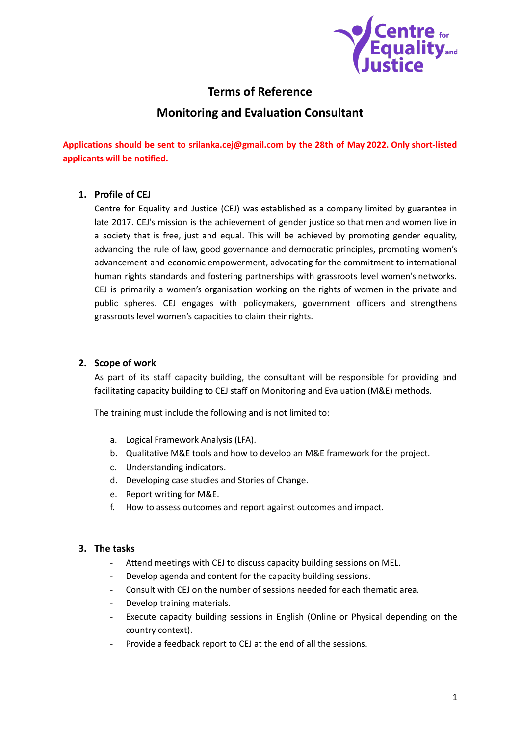

# **Terms of Reference**

## **Monitoring and Evaluation Consultant**

**Applications should be sent to srilanka.cej@gmail.com by the 28th of May 2022. Only short-listed applicants will be notified.**

### **1. Profile of CEJ**

Centre for Equality and Justice (CEJ) was established as a company limited by guarantee in late 2017. CEJ's mission is the achievement of gender justice so that men and women live in a society that is free, just and equal. This will be achieved by promoting gender equality, advancing the rule of law, good governance and democratic principles, promoting women's advancement and economic empowerment, advocating for the commitment to international human rights standards and fostering partnerships with grassroots level women's networks. CEJ is primarily a women's organisation working on the rights of women in the private and public spheres. CEJ engages with policymakers, government officers and strengthens grassroots level women's capacities to claim their rights.

#### **2. Scope of work**

As part of its staff capacity building, the consultant will be responsible for providing and facilitating capacity building to CEJ staff on Monitoring and Evaluation (M&E) methods.

The training must include the following and is not limited to:

- a. Logical Framework Analysis (LFA).
- b. Qualitative M&E tools and how to develop an M&E framework for the project.
- c. Understanding indicators.
- d. Developing case studies and Stories of Change.
- e. Report writing for M&E.
- f. How to assess outcomes and report against outcomes and impact.

### **3. The tasks**

- Attend meetings with CEJ to discuss capacity building sessions on MEL.
- Develop agenda and content for the capacity building sessions.
- Consult with CEJ on the number of sessions needed for each thematic area.
- Develop training materials.
- Execute capacity building sessions in English (Online or Physical depending on the country context).
- Provide a feedback report to CEJ at the end of all the sessions.